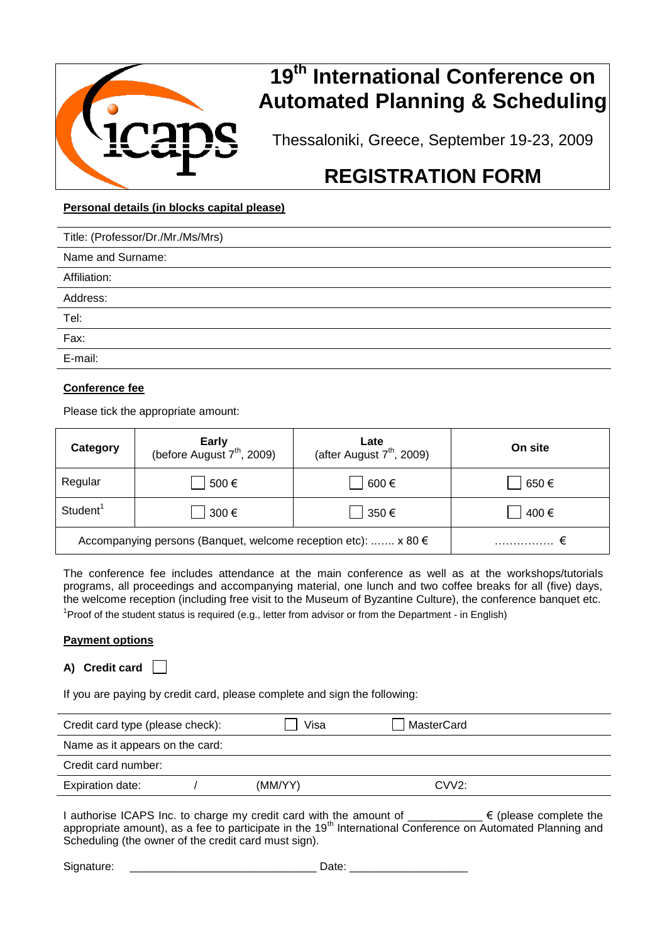

# **19th International Conference on Automated Planning & Scheduling**

Thessaloniki, Greece, September 19-23, 2009

# **REGISTRATION FORM**

# **Personal details (in blocks capital please)**

| Title: (Professor/Dr./Mr./Ms/Mrs) |
|-----------------------------------|
| Name and Surname:                 |
| Affiliation:                      |
| Address:                          |
| Tel:                              |
| Fax:                              |
| E-mail:                           |
|                                   |

## **Conference fee**

Please tick the appropriate amount:

| Category             | <b>Early</b><br>(before August $7th$ , 2009)                      | Late<br>(after August $7th$ , 2009) | On site |
|----------------------|-------------------------------------------------------------------|-------------------------------------|---------|
| Regular              | 500€                                                              | 600€                                | 650€    |
| Student <sup>1</sup> | 300€                                                              | 350€                                | 400€    |
|                      | Accompanying persons (Banquet, welcome reception etc): $x 80 \in$ |                                     |         |

The conference fee includes attendance at the main conference as well as at the workshops/tutorials programs, all proceedings and accompanying material, one lunch and two coffee breaks for all (five) days, the welcome reception (including free visit to the Museum of Byzantine Culture), the conference banquet etc.

<sup>1</sup> Proof of the student status is required (e.g., letter from advisor or from the Department - in English)

#### **Payment options**

### **A) Credit card**

If you are paying by credit card, please complete and sign the following:

| Credit card type (please check): | Visa    | MasterCard |  |
|----------------------------------|---------|------------|--|
| Name as it appears on the card:  |         |            |  |
| Credit card number:              |         |            |  |
| <b>Expiration date:</b>          | (MM/YY) | $CVV2$ :   |  |

I authorise ICAPS Inc. to charge my credit card with the amount of \_\_\_\_\_\_\_\_\_\_\_\_ € (please complete the appropriate amount), as a fee to participate in the 19<sup>th</sup> International Conference on Automated Planning and Scheduling (the owner of the credit card must sign).

| Signature: | atc<br>uw |
|------------|-----------|
|            |           |